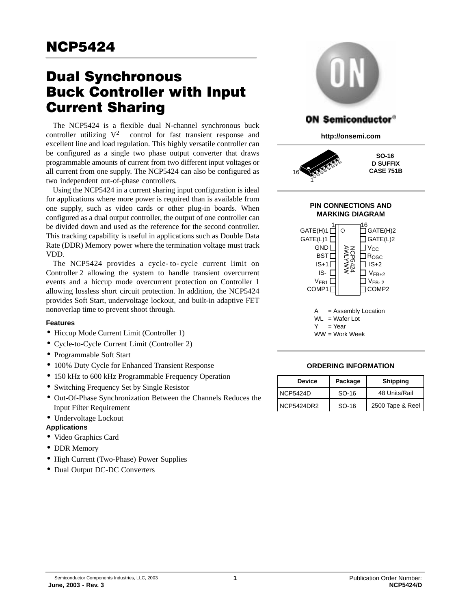# **Dual Synchronous<br>Buck Controller with Input Current Sharing**

The NCP5424 is a flexible dual N-channel synchronous buck controller utilizing  $V^{2\tau M}$  control for fast transient response and excellent line and load regulation. This highly versatile controller can be configured as a single two phase output converter that draws programmable amounts of current from two different input voltages or all current from one supply. The NCP5424 can also be configured as two independent out-of-phase controllers.

Using the NCP5424 in a current sharing input configuration is ideal for applications where more power is required than is available from one supply, such as video cards or other plug-in boards. When configured as a dual output controller, the output of one controller can be divided down and used as the reference for the second controller. This tracking capability is useful in applications such as Double Data Rate (DDR) Memory power where the termination voltage must track VDD.

The NCP5424 provides a cycle- to- cycle current limit on Controller 2 allowing the system to handle transient overcurrent events and a hiccup mode overcurrent protection on Controller 1 allowing lossless short circuit protection. In addition, the NCP5424 provides Soft Start, undervoltage lockout, and built-in adaptive FET nonoverlap time to prevent shoot through.

#### **Features**

- Hiccup Mode Current Limit (Controller 1)
- Cycle-to-Cycle Current Limit (Controller 2)
- Programmable Soft Start
- 100% Duty Cycle for Enhanced Transient Response
- 150 kHz to 600 kHz Programmable Frequency Operation
- Switching Frequency Set by Single Resistor
- Out-Of-Phase Synchronization Between the Channels Reduces the Input Filter Requirement
- Undervoltage Lockout

#### **Applications**

- Video Graphics Card
- DDR Memory
- High Current (Two-Phase) Power Supplies
- Dual Output DC-DC Converters



| <b>Device</b>     | Package | <b>Shipping</b>  |
|-------------------|---------|------------------|
| <b>NCP5424D</b>   | SO-16   | 48 Units/Rail    |
| <b>NCP5424DR2</b> | SO-16   | 2500 Tape & Reel |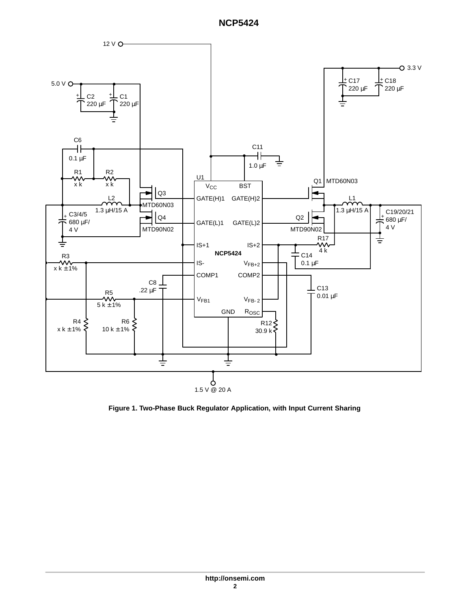

**Figure 1. Two-Phase Buck Regulator Application, with Input Current Sharing**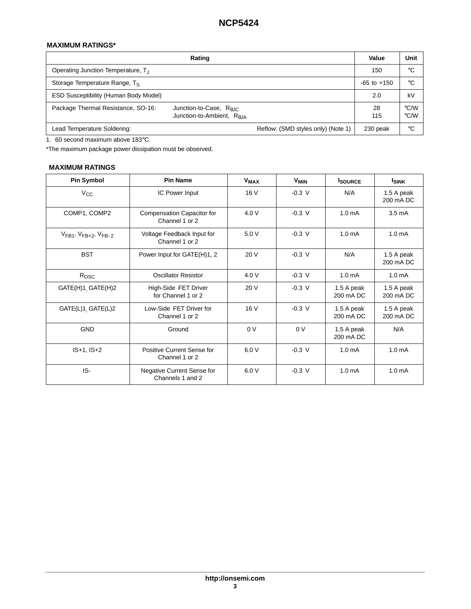## **MAXIMUM RATINGS\***

|                                              | Value                                                                       | Unit                               |                 |                                |
|----------------------------------------------|-----------------------------------------------------------------------------|------------------------------------|-----------------|--------------------------------|
| Operating Junction Temperature, T.           |                                                                             |                                    | 150             | °C                             |
| Storage Temperature Range, Ts                |                                                                             |                                    | $-65$ to $+150$ | °C                             |
| <b>ESD Susceptibility (Human Body Model)</b> |                                                                             |                                    | 2.0             | kV                             |
| Package Thermal Resistance, SO-16:           | Junction-to-Case, $R_{\theta JC}$<br>Junction-to-Ambient, R <sub>6.IA</sub> |                                    | 28<br>115       | $\degree$ C/W<br>$\degree$ C/W |
| Lead Temperature Soldering:                  |                                                                             | Reflow: (SMD styles only) (Note 1) | 230 peak        | °C                             |

1. 60 second maximum above 183°C.

\*The maximum package power dissipation must be observed.

## **MAXIMUM RATINGS**

| <b>Pin Symbol</b>                   | <b>Pin Name</b>                                | <b>V<sub>MAX</sub></b> | $V_{MIN}$      | <b>ISOURCE</b>          | <b>ISINK</b>            |
|-------------------------------------|------------------------------------------------|------------------------|----------------|-------------------------|-------------------------|
| $V_{\rm CC}$                        | IC Power Input                                 |                        | $-0.3$ V       | N/A                     | 1.5 A peak<br>200 mA DC |
| COMP1, COMP2                        | Compensation Capacitor for<br>Channel 1 or 2   | 4.0V                   | $-0.3$ V       | 1.0 <sub>m</sub> A      | $3.5 \text{ mA}$        |
| $V_{FB1}$ , $V_{FB+2}$ , $V_{FB-2}$ | Voltage Feedback Input for<br>Channel 1 or 2   | 5.0V                   | $-0.3$ V       | 1.0 <sub>m</sub> A      | 1.0 <sub>m</sub> A      |
| <b>BST</b>                          | Power Input for GATE(H)1, 2                    | 20 V                   | $-0.3$ V       | N/A                     | 1.5 A peak<br>200 mA DC |
| Rosc                                | <b>Oscillator Resistor</b>                     | 4.0 V                  | $-0.3$ V       | 1.0 <sub>m</sub> A      | 1.0 <sub>m</sub> A      |
| GATE(H)1 <sub>,</sub> GATE(H)2      | High-Side FET Driver<br>for Channel 1 or 2     | 20 V                   | $-0.3$ V       | 1.5 A peak<br>200 mA DC | 1.5 A peak<br>200 mA DC |
| GATE(L)1 <sub>,</sub> GATE(L)2      | Low-Side FET Driver for<br>Channel 1 or 2      | 16 V                   | $-0.3$ V       | 1.5 A peak<br>200 mA DC | 1.5 A peak<br>200 mA DC |
| <b>GND</b>                          | Ground                                         | 0 <sup>0</sup>         | 0 <sup>0</sup> | 1.5 A peak<br>200 mA DC | N/A                     |
| $IS+1, IS+2$                        | Positive Current Sense for<br>Channel 1 or 2   | 6.0V                   | $-0.3$ V       | 1.0 <sub>m</sub> A      | 1.0 <sub>m</sub> A      |
| IS-                                 | Negative Current Sense for<br>Channels 1 and 2 | 6.0V                   | $-0.3$ V       | 1.0 <sub>m</sub> A      | 1.0 <sub>m</sub> A      |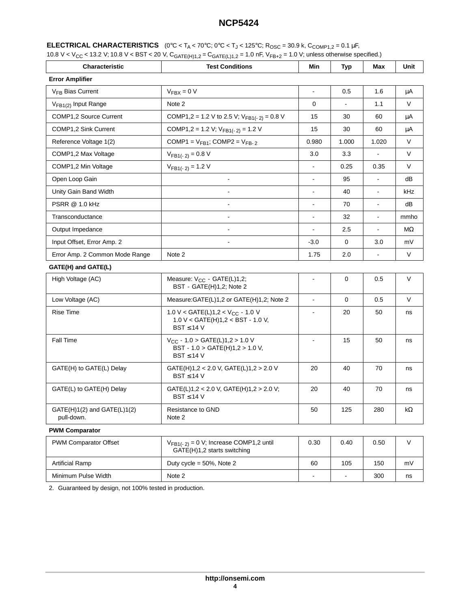|  | <b>ELECTRICAL CHARACTERISTICS</b> $(0^{\circ}\text{C} < T_A < 70^{\circ}\text{C}; 0^{\circ}\text{C} < T_J < 125^{\circ}\text{C}; \text{R}_{\text{OSC}} = 30.9 \text{ k}, \text{C}_{\text{COMP1},2} = 0.1 \mu\text{F},$ |
|--|------------------------------------------------------------------------------------------------------------------------------------------------------------------------------------------------------------------------|
|--|------------------------------------------------------------------------------------------------------------------------------------------------------------------------------------------------------------------------|

| 10.8 V < V <sub>CC</sub> < 13.2 V; 10.8 V < BST < 20 V, C <sub>GATE(H)1,2</sub> = C <sub>GATE(L)1,2</sub> = 1.0 nF, V <sub>FB+2</sub> = 1.0 V; unless otherwise specified.) |  |
|-----------------------------------------------------------------------------------------------------------------------------------------------------------------------------|--|
|-----------------------------------------------------------------------------------------------------------------------------------------------------------------------------|--|

| Characteristic                                | <b>Test Conditions</b>                                                                                    |                          | <b>Typ</b>     | Max            | Unit      |  |  |
|-----------------------------------------------|-----------------------------------------------------------------------------------------------------------|--------------------------|----------------|----------------|-----------|--|--|
| <b>Error Amplifier</b>                        |                                                                                                           |                          |                |                |           |  |  |
| V <sub>FB</sub> Bias Current                  | $V_{\text{FBX}} = 0 V$                                                                                    | $\blacksquare$           | 0.5            | 1.6            | μA        |  |  |
| V <sub>FB1(2)</sub> Input Range               | Note 2                                                                                                    | 0                        |                | 1.1            | V         |  |  |
| COMP1,2 Source Current                        | COMP1,2 = 1.2 V to 2.5 V; $V_{FB1(-2)} = 0.8$ V                                                           | 15                       | 30             | 60             | μA        |  |  |
| COMP1,2 Sink Current                          | COMP1,2 = 1.2 V; $V_{FB1(-2)} = 1.2$ V                                                                    | 15                       | 30             | 60             | μA        |  |  |
| Reference Voltage 1(2)                        | COMP1 = $V_{FB1}$ ; COMP2 = $V_{FB-2}$                                                                    | 0.980                    | 1.000          | 1.020          | V         |  |  |
| COMP1,2 Max Voltage                           | $V_{FB1(-2)} = 0.8 V$                                                                                     | 3.0                      | 3.3            |                | V         |  |  |
| COMP1,2 Min Voltage                           | $V_{FB1(-2)} = 1.2 V$                                                                                     | $\blacksquare$           | 0.25           | 0.35           | V         |  |  |
| Open Loop Gain                                | $\blacksquare$                                                                                            | $\blacksquare$           | 95             | $\blacksquare$ | dB        |  |  |
| Unity Gain Band Width                         | $\blacksquare$                                                                                            | $\blacksquare$           | 40             | $\blacksquare$ | kHz       |  |  |
| <b>PSRR @ 1.0 kHz</b>                         | $\overline{a}$                                                                                            | $\overline{\phantom{a}}$ | 70             | ä,             | dB        |  |  |
| Transconductance                              | $\overline{\phantom{a}}$                                                                                  | $\mathbf{r}$             | 32             | $\blacksquare$ | mmho      |  |  |
| Output Impedance                              | $\blacksquare$                                                                                            | $\blacksquare$           | 2.5            | $\blacksquare$ | МΩ        |  |  |
| Input Offset, Error Amp. 2                    |                                                                                                           | $-3.0$                   | 0              | 3.0            | mV        |  |  |
| Error Amp. 2 Common Mode Range                | Note 2                                                                                                    | 1.75                     | 2.0            |                | V         |  |  |
| GATE(H) and GATE(L)                           |                                                                                                           |                          |                |                |           |  |  |
| High Voltage (AC)                             | Measure: V <sub>CC</sub> - GATE(L)1,2;<br>BST - GATE(H)1,2; Note 2                                        |                          | 0              | 0.5            | V         |  |  |
| Low Voltage (AC)                              | Measure: GATE(L)1,2 or GATE(H)1,2; Note 2                                                                 | $\blacksquare$           | $\mathbf 0$    | 0.5            | V         |  |  |
| <b>Rise Time</b>                              | 1.0 V < GATE(L)1,2 < V <sub>CC</sub> - 1.0 V<br>$1.0 V <$ GATE(H) $1,2 <$ BST - 1.0 V,<br>$BST \leq 14$ V | $\blacksquare$           | 20             | 50             | ns        |  |  |
| Fall Time                                     | $V_{CC}$ - 1.0 > GATE(L)1,2 > 1.0 V<br>BST - 1.0 > GATE(H)1,2 > 1.0 V,<br>$BST \leq 14$ V                 | $\blacksquare$           | 15             | 50             | ns        |  |  |
| GATE(H) to GATE(L) Delay                      | GATE(H)1,2 < 2.0 V, GATE(L)1,2 > 2.0 V<br>$BST \leq 14$ V                                                 | 20                       | 40             | 70             | ns        |  |  |
| GATE(L) to GATE(H) Delay                      | GATE(L)1,2 < 2.0 V, GATE(H)1,2 > 2.0 V;<br>$BST \leq 14$ V                                                | 20                       | 40             | 70             | ns        |  |  |
| $GATE(H)1(2)$ and $GATE(L)1(2)$<br>pull-down. | Resistance to GND<br>Note 2                                                                               | 50                       | 125            | 280            | $k\Omega$ |  |  |
| <b>PWM Comparator</b>                         |                                                                                                           |                          |                |                |           |  |  |
| PWM Comparator Offset                         | $V_{FB1(-2)} = 0$ V; Increase COMP1,2 until<br>GATE(H)1,2 starts switching                                | 0.30                     | 0.40           | 0.50           | $\vee$    |  |  |
| <b>Artificial Ramp</b>                        | Duty cycle = $50\%$ , Note 2                                                                              | 60                       | 105            | 150            | mV        |  |  |
| Minimum Pulse Width                           | Note 2                                                                                                    | ۰                        | $\blacksquare$ | 300            | ns        |  |  |
|                                               |                                                                                                           |                          |                |                |           |  |  |

2. Guaranteed by design, not 100% tested in production.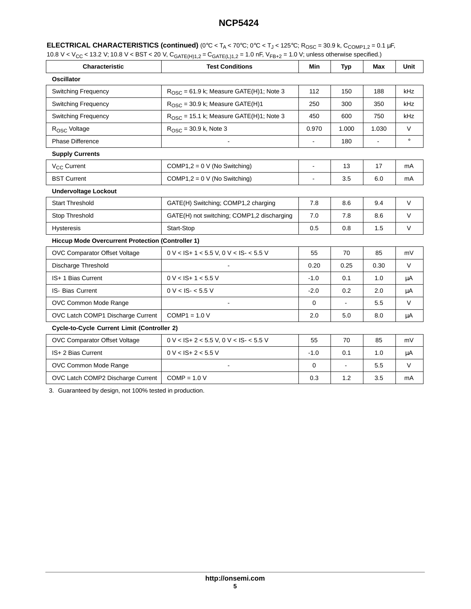| <b>ELECTRICAL CHARACTERISTICS (continued)</b> (0°C < T <sub>A</sub> < 70°C; 0°C < T <sub>J</sub> < 125°C; R <sub>OSC</sub> = 30.9 k, C <sub>COMP1.2</sub> = 0.1 µF,         |  |
|-----------------------------------------------------------------------------------------------------------------------------------------------------------------------------|--|
| 10.8 V < V <sub>CC</sub> < 13.2 V; 10.8 V < BST < 20 V, C <sub>GATE(H)1,2</sub> = C <sub>GATE(L)1,2</sub> = 1.0 nF, V <sub>FB+2</sub> = 1.0 V; unless otherwise specified.) |  |

| Characteristic<br><b>Test Conditions</b>                 |                                                     | Min            | <b>Typ</b>     | Max            | Unit    |  |
|----------------------------------------------------------|-----------------------------------------------------|----------------|----------------|----------------|---------|--|
| <b>Oscillator</b>                                        |                                                     |                |                |                |         |  |
| <b>Switching Frequency</b>                               | $R_{\text{OSC}}$ = 61.9 k; Measure GATE(H)1; Note 3 | 112            | 150            | 188            | kHz     |  |
| Switching Frequency                                      | $ROSC = 30.9$ k; Measure GATE(H)1                   | 250            | 300            | 350            | kHz     |  |
| <b>Switching Frequency</b>                               | $R_{\text{OSC}}$ = 15.1 k; Measure GATE(H)1; Note 3 | 450            | 600            | 750            | kHz     |  |
| R <sub>OSC</sub> Voltage                                 | $R_{\rm OSC}$ = 30.9 k, Note 3                      | 0.970          | 1.000          | 1.030          | $\vee$  |  |
| <b>Phase Difference</b>                                  | $\blacksquare$                                      | ä,             | 180            | $\overline{a}$ | $\circ$ |  |
| <b>Supply Currents</b>                                   |                                                     |                |                |                |         |  |
| V <sub>CC</sub> Current                                  | COMP1,2 = $0 \vee$ (No Switching)                   | $\blacksquare$ | 13             | 17             | mA      |  |
| <b>BST Current</b>                                       | COMP1,2 = $0 \vee$ (No Switching)                   |                | 3.5            | 6.0            | mA      |  |
| <b>Undervoltage Lockout</b>                              |                                                     |                |                |                |         |  |
| <b>Start Threshold</b>                                   | GATE(H) Switching; COMP1,2 charging                 | 7.8            | 8.6            | 9.4            | $\vee$  |  |
| Stop Threshold                                           | GATE(H) not switching; COMP1,2 discharging          | 7.0            | 7.8            | 8.6            | $\vee$  |  |
| <b>Hysteresis</b>                                        | Start-Stop                                          | 0.5            | 0.8            | 1.5            | $\vee$  |  |
| <b>Hiccup Mode Overcurrent Protection (Controller 1)</b> |                                                     |                |                |                |         |  |
| OVC Comparator Offset Voltage                            | $0 \text{ V}$ < IS+ 1 < 5.5 V, 0 V < IS- < 5.5 V    | 55             | 70             | 85             | mV      |  |
| Discharge Threshold                                      |                                                     | 0.20           | 0.25           | 0.30           | $\vee$  |  |
| IS+ 1 Bias Current                                       | $0 V <$ IS+ 1 < 5.5 V                               | $-1.0$         | 0.1            | 1.0            | μA      |  |
| <b>IS- Bias Current</b>                                  | $0 V < I S - 5.5 V$                                 | $-2.0$         | 0.2            | 2.0            | μA      |  |
| OVC Common Mode Range                                    | L,                                                  | $\mathbf 0$    | $\blacksquare$ | 5.5            | $\vee$  |  |
| OVC Latch COMP1 Discharge Current                        | $COMP1 = 1.0 V$                                     | 2.0            | 5.0            | 8.0            | μA      |  |
|                                                          | <b>Cycle-to-Cycle Current Limit (Controller 2)</b>  |                |                |                |         |  |
| OVC Comparator Offset Voltage                            | $0 \text{ V}$ < IS+ 2 < 5.5 V, 0 V < IS- < 5.5 V    | 55             | 70             | 85             | mV      |  |
| IS+ 2 Bias Current                                       | $0 V <$ IS+ 2 < 5.5 V                               | $-1.0$         | 0.1            | 1.0            | μA      |  |
| OVC Common Mode Range                                    |                                                     | 0              | $\blacksquare$ | 5.5            | V       |  |
| OVC Latch COMP2 Discharge Current                        | $COMP = 1.0 V$                                      | 0.3            | 1.2            | 3.5            | mA      |  |

3. Guaranteed by design, not 100% tested in production.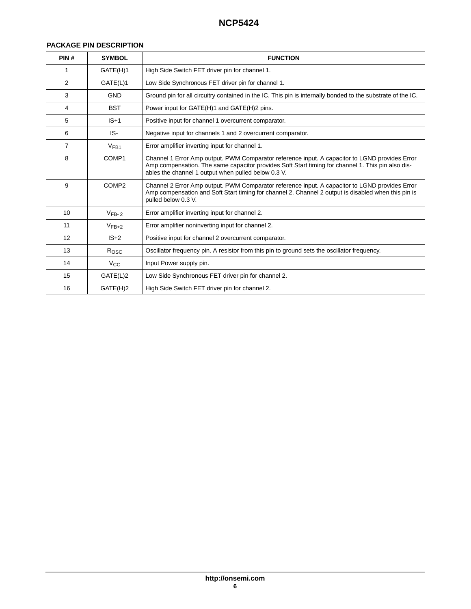### **PACKAGE PIN DESCRIPTION**

| PIN#           | <b>SYMBOL</b>     | <b>FUNCTION</b>                                                                                                                                                                                                                                            |  |  |
|----------------|-------------------|------------------------------------------------------------------------------------------------------------------------------------------------------------------------------------------------------------------------------------------------------------|--|--|
| 1              | GATE(H)1          | High Side Switch FET driver pin for channel 1.                                                                                                                                                                                                             |  |  |
| $\overline{2}$ | GATE(L)1          | Low Side Synchronous FET driver pin for channel 1.                                                                                                                                                                                                         |  |  |
| 3              | <b>GND</b>        | Ground pin for all circuitry contained in the IC. This pin is internally bonded to the substrate of the IC.                                                                                                                                                |  |  |
| 4              | <b>BST</b>        | Power input for GATE(H)1 and GATE(H)2 pins.                                                                                                                                                                                                                |  |  |
| 5              | $IS+1$            | Positive input for channel 1 overcurrent comparator.                                                                                                                                                                                                       |  |  |
| 6              | IS-               | Negative input for channels 1 and 2 overcurrent comparator.                                                                                                                                                                                                |  |  |
| 7              | V <sub>FB1</sub>  | Error amplifier inverting input for channel 1.                                                                                                                                                                                                             |  |  |
| 8              | COMP1             | Channel 1 Error Amp output. PWM Comparator reference input. A capacitor to LGND provides Error<br>Amp compensation. The same capacitor provides Soft Start timing for channel 1. This pin also dis-<br>ables the channel 1 output when pulled below 0.3 V. |  |  |
| 9              | COMP <sub>2</sub> | Channel 2 Error Amp output. PWM Comparator reference input. A capacitor to LGND provides Error<br>Amp compensation and Soft Start timing for channel 2. Channel 2 output is disabled when this pin is<br>pulled below 0.3 V.                               |  |  |
| 10             | $VFB-2$           | Error amplifier inverting input for channel 2.                                                                                                                                                                                                             |  |  |
| 11             | $V_{FB+2}$        | Error amplifier noninverting input for channel 2.                                                                                                                                                                                                          |  |  |
| 12             | $IS+2$            | Positive input for channel 2 overcurrent comparator.                                                                                                                                                                                                       |  |  |
| 13             | $R_{\text{OSC}}$  | Oscillator frequency pin. A resistor from this pin to ground sets the oscillator frequency.                                                                                                                                                                |  |  |
| 14             | $V_{\rm CC}$      | Input Power supply pin.                                                                                                                                                                                                                                    |  |  |
| 15             | GATE(L)2          | Low Side Synchronous FET driver pin for channel 2.                                                                                                                                                                                                         |  |  |
| 16             | GATE(H)2          | High Side Switch FET driver pin for channel 2.                                                                                                                                                                                                             |  |  |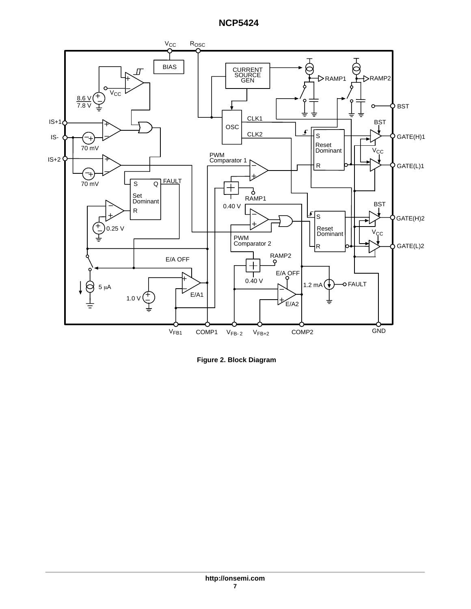

**Figure 2. Block Diagram**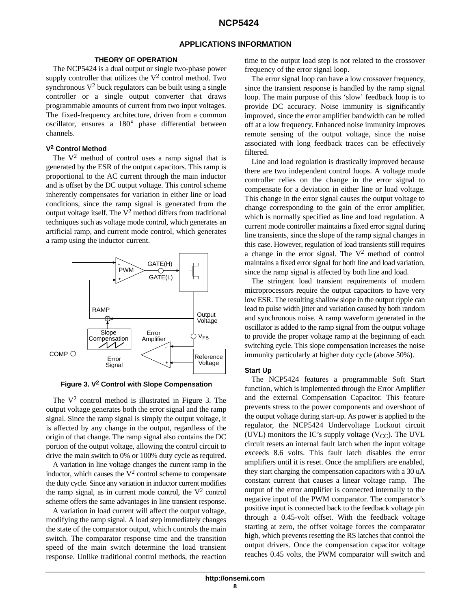## **APPLICATIONS INFORMATION**

#### **THEORY OF OPERATION**

The NCP5424 is a dual output or single two-phase power supply controller that utilizes the  $V^2$  control method. Two synchronous  $V^2$  buck regulators can be built using a single controller or a single output converter that draws programmable amounts of current from two input voltages. The fixed-frequency architecture, driven from a common oscillator, ensures a 180° phase differential between channels.

#### **V2 Control Method**

The  $V^2$  method of control uses a ramp signal that is generated by the ESR of the output capacitors. This ramp is proportional to the AC current through the main inductor and is offset by the DC output voltage. This control scheme inherently compensates for variation in either line or load conditions, since the ramp signal is generated from the output voltage itself. The  $V^2$  method differs from traditional techniques such as voltage mode control, which generates an artificial ramp, and current mode control, which generates a ramp using the inductor current.



**Figure 3. V2 Control with Slope Compensation**

The  $V^2$  control method is illustrated in Figure 3. The output voltage generates both the error signal and the ramp signal. Since the ramp signal is simply the output voltage, it is affected by any change in the output, regardless of the origin of that change. The ramp signal also contains the DC portion of the output voltage, allowing the control circuit to drive the main switch to 0% or 100% duty cycle as required.

A variation in line voltage changes the current ramp in the inductor, which causes the  $V^2$  control scheme to compensate the duty cycle. Since any variation in inductor current modifies the ramp signal, as in current mode control, the  $V^2$  control scheme offers the same advantages in line transient response.

A variation in load current will affect the output voltage, modifying the ramp signal. A load step immediately changes the state of the comparator output, which controls the main switch. The comparator response time and the transition speed of the main switch determine the load transient response. Unlike traditional control methods, the reaction

time to the output load step is not related to the crossover frequency of the error signal loop.

The error signal loop can have a low crossover frequency, since the transient response is handled by the ramp signal loop. The main purpose of this 'slow' feedback loop is to provide DC accuracy. Noise immunity is significantly improved, since the error amplifier bandwidth can be rolled off at a low frequency. Enhanced noise immunity improves remote sensing of the output voltage, since the noise associated with long feedback traces can be effectively filtered.

Line and load regulation is drastically improved because there are two independent control loops. A voltage mode controller relies on the change in the error signal to compensate for a deviation in either line or load voltage. This change in the error signal causes the output voltage to change corresponding to the gain of the error amplifier, which is normally specified as line and load regulation. A current mode controller maintains a fixed error signal during line transients, since the slope of the ramp signal changes in this case. However, regulation of load transients still requires a change in the error signal. The  $V^2$  method of control maintains a fixed error signal for both line and load variation, since the ramp signal is affected by both line and load.

The stringent load transient requirements of modern microprocessors require the output capacitors to have very low ESR. The resulting shallow slope in the output ripple can lead to pulse width jitter and variation caused by both random and synchronous noise. A ramp waveform generated in the oscillator is added to the ramp signal from the output voltage to provide the proper voltage ramp at the beginning of each switching cycle. This slope compensation increases the noise immunity particularly at higher duty cycle (above 50%).

#### **Start Up**

The NCP5424 features a programmable Soft Start function, which is implemented through the Error Amplifier and the external Compensation Capacitor. This feature prevents stress to the power components and overshoot of the output voltage during start-up. As power is applied to the regulator, the NCP5424 Undervoltage Lockout circuit (UVL) monitors the IC's supply voltage ( $V_{CC}$ ). The UVL circuit resets an internal fault latch when the input voltage exceeds 8.6 volts. This fault latch disables the error amplifiers until it is reset. Once the amplifiers are enabled, they start charging the compensation capacitors with a 30 uA constant current that causes a linear voltage ramp. The output of the error amplifier is connected internally to the negative input of the PWM comparator. The comparator's positive input is connected back to the feedback voltage pin through a 0.45-volt offset. With the feedback voltage starting at zero, the offset voltage forces the comparator high, which prevents resetting the RS latches that control the output drivers. Once the compensation capacitor voltage reaches 0.45 volts, the PWM comparator will switch and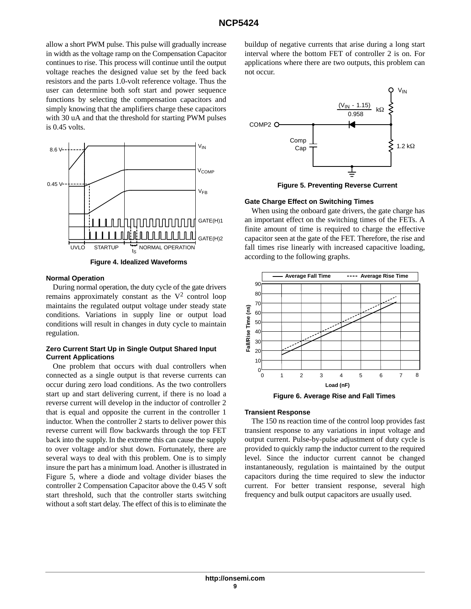allow a short PWM pulse. This pulse will gradually increase in width as the voltage ramp on the Compensation Capacitor continues to rise. This process will continue until the output voltage reaches the designed value set by the feed back resistors and the parts 1.0-volt reference voltage. Thus the user can determine both soft start and power sequence functions by selecting the compensation capacitors and simply knowing that the amplifiers charge these capacitors with 30 uA and that the threshold for starting PWM pulses is 0.45 volts.



**Figure 4. Idealized Waveforms**

#### **Normal Operation**

During normal operation, the duty cycle of the gate drivers remains approximately constant as the  $V^2$  control loop maintains the regulated output voltage under steady state conditions. Variations in supply line or output load conditions will result in changes in duty cycle to maintain regulation.

#### **Zero Current Start Up in Single Output Shared Input Current Applications**

One problem that occurs with dual controllers when connected as a single output is that reverse currents can occur during zero load conditions. As the two controllers start up and start delivering current, if there is no load a reverse current will develop in the inductor of controller 2 that is equal and opposite the current in the controller 1 inductor. When the controller 2 starts to deliver power this reverse current will flow backwards through the top FET back into the supply. In the extreme this can cause the supply to over voltage and/or shut down. Fortunately, there are several ways to deal with this problem. One is to simply insure the part has a minimum load. Another is illustrated in Figure 5, where a diode and voltage divider biases the controller 2 Compensation Capacitor above the 0.45 V soft start threshold, such that the controller starts switching without a soft start delay. The effect of this is to eliminate the buildup of negative currents that arise during a long start interval where the bottom FET of controller 2 is on. For applications where there are two outputs, this problem can not occur.



**Figure 5. Preventing Reverse Current**

#### **Gate Charge Effect on Switching Times**

When using the onboard gate drivers, the gate charge has an important effect on the switching times of the FETs. A finite amount of time is required to charge the effective capacitor seen at the gate of the FET. Therefore, the rise and fall times rise linearly with increased capacitive loading, according to the following graphs.



**Figure 6. Average Rise and Fall Times**

#### **Transient Response**

The 150 ns reaction time of the control loop provides fast transient response to any variations in input voltage and output current. Pulse-by-pulse adjustment of duty cycle is provided to quickly ramp the inductor current to the required level. Since the inductor current cannot be changed instantaneously, regulation is maintained by the output capacitors during the time required to slew the inductor current. For better transient response, several high frequency and bulk output capacitors are usually used.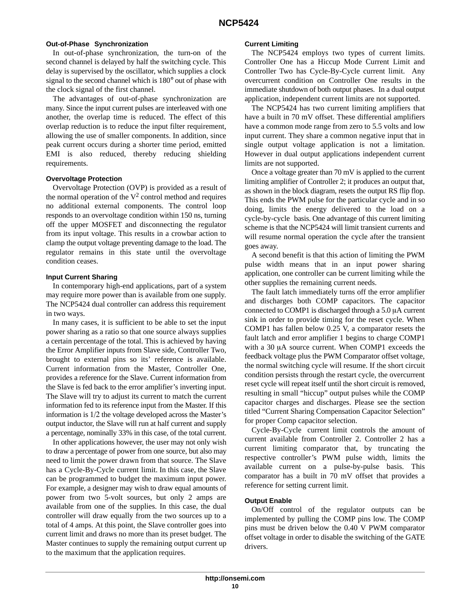#### **Out-of-Phase Synchronization**

In out-of-phase synchronization, the turn-on of the second channel is delayed by half the switching cycle. This delay is supervised by the oscillator, which supplies a clock signal to the second channel which is 180° out of phase with the clock signal of the first channel.

The advantages of out-of-phase synchronization are many. Since the input current pulses are interleaved with one another, the overlap time is reduced. The effect of this overlap reduction is to reduce the input filter requirement, allowing the use of smaller components. In addition, since peak current occurs during a shorter time period, emitted EMI is also reduced, thereby reducing shielding requirements.

#### **Overvoltage Protection**

Overvoltage Protection (OVP) is provided as a result of the normal operation of the  $V^2$  control method and requires no additional external components. The control loop responds to an overvoltage condition within 150 ns, turning off the upper MOSFET and disconnecting the regulator from its input voltage. This results in a crowbar action to clamp the output voltage preventing damage to the load. The regulator remains in this state until the overvoltage condition ceases.

#### **Input Current Sharing**

In contemporary high-end applications, part of a system may require more power than is available from one supply. The NCP5424 dual controller can address this requirement in two ways.

In many cases, it is sufficient to be able to set the input power sharing as a ratio so that one source always supplies a certain percentage of the total. This is achieved by having the Error Amplifier inputs from Slave side, Controller Two, brought to external pins so its' reference is available. Current information from the Master, Controller One, provides a reference for the Slave. Current information from the Slave is fed back to the error amplifier's inverting input. The Slave will try to adjust its current to match the current information fed to its reference input from the Master. If this information is 1/2 the voltage developed across the Master's output inductor, the Slave will run at half current and supply a percentage, nominally 33% in this case, of the total current.

In other applications however, the user may not only wish to draw a percentage of power from one source, but also may need to limit the power drawn from that source. The Slave has a Cycle-By-Cycle current limit. In this case, the Slave can be programmed to budget the maximum input power. For example, a designer may wish to draw equal amounts of power from two 5-volt sources, but only 2 amps are available from one of the supplies. In this case, the dual controller will draw equally from the two sources up to a total of 4 amps. At this point, the Slave controller goes into current limit and draws no more than its preset budget. The Master continues to supply the remaining output current up to the maximum that the application requires.

#### **Current Limiting**

The NCP5424 employs two types of current limits. Controller One has a Hiccup Mode Current Limit and Controller Two has Cycle-By-Cycle current limit. Any overcurrent condition on Controller One results in the immediate shutdown of both output phases. In a dual output application, independent current limits are not supported.

The NCP5424 has two current limiting amplifiers that have a built in 70 mV offset. These differential amplifiers have a common mode range from zero to 5.5 volts and low input current. They share a common negative input that in single output voltage application is not a limitation. However in dual output applications independent current limits are not supported.

Once a voltage greater than 70 mV is applied to the current limiting amplifier of Controller 2; it produces an output that, as shown in the block diagram, resets the output RS flip flop. This ends the PWM pulse for the particular cycle and in so doing, limits the energy delivered to the load on a cycle-by-cycle basis. One advantage of this current limiting scheme is that the NCP5424 will limit transient currents and will resume normal operation the cycle after the transient goes away.

A second benefit is that this action of limiting the PWM pulse width means that in an input power sharing application, one controller can be current limiting while the other supplies the remaining current needs.

The fault latch immediately turns off the error amplifier and discharges both COMP capacitors. The capacitor connected to COMP1 is discharged through a  $5.0 \mu A$  current sink in order to provide timing for the reset cycle. When COMP1 has fallen below 0.25 V, a comparator resets the fault latch and error amplifier 1 begins to charge COMP1 with a 30  $\mu$ A source current. When COMP1 exceeds the feedback voltage plus the PWM Comparator offset voltage, the normal switching cycle will resume. If the short circuit condition persists through the restart cycle, the overcurrent reset cycle will repeat itself until the short circuit is removed, resulting in small "hiccup" output pulses while the COMP capacitor charges and discharges. Please see the section titled "Current Sharing Compensation Capacitor Selection" for proper Comp capacitor selection.

Cycle-By-Cycle current limit controls the amount of current available from Controller 2. Controller 2 has a current limiting comparator that, by truncating the respective controller's PWM pulse width, limits the available current on a pulse-by-pulse basis. This comparator has a built in 70 mV offset that provides a reference for setting current limit.

#### **Output Enable**

On/Off control of the regulator outputs can be implemented by pulling the COMP pins low. The COMP pins must be driven below the 0.40 V PWM comparator offset voltage in order to disable the switching of the GATE drivers.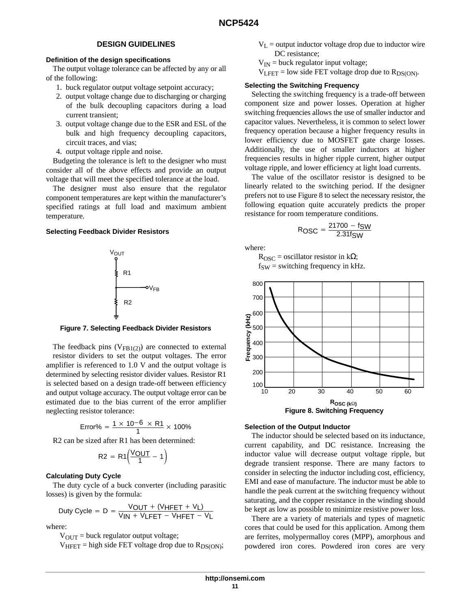## **DESIGN GUIDELINES**

#### **Definition of the design specifications**

The output voltage tolerance can be affected by any or all of the following:

- 1. buck regulator output voltage setpoint accuracy;
- 2. output voltage change due to discharging or charging of the bulk decoupling capacitors during a load current transient;
- 3. output voltage change due to the ESR and ESL of the bulk and high frequency decoupling capacitors, circuit traces, and vias;
- 4. output voltage ripple and noise.

Budgeting the tolerance is left to the designer who must consider all of the above effects and provide an output voltage that will meet the specified tolerance at the load.

The designer must also ensure that the regulator component temperatures are kept within the manufacturer's specified ratings at full load and maximum ambient temperature.

#### **Selecting Feedback Divider Resistors**



**Figure 7. Selecting Feedback Divider Resistors**

The feedback pins  $(V_{FB1(2)})$  are connected to external resistor dividers to set the output voltages. The error amplifier is referenced to 1.0 V and the output voltage is determined by selecting resistor divider values. Resistor R1 is selected based on a design trade-off between efficiency and output voltage accuracy. The output voltage error can be estimated due to the bias current of the error amplifier neglecting resistor tolerance:

Error% = 
$$
\frac{1 \times 10^{-6} \times R1}{1} \times 100\%
$$

R2 can be sized after R1 has been determined:

$$
R2 = R1 \left( \frac{VOUT}{1} - 1 \right)
$$

#### **Calculating Duty Cycle**

The duty cycle of a buck converter (including parasitic losses) is given by the formula:

$$
\text{Duty Cycle} = D = \frac{V_{\text{OUT}} + (V_{\text{HFET}} + V_{\text{L}})}{V_{\text{IN}} + V_{\text{LFET}} - V_{\text{HFET}} - V_{\text{L}}}
$$

where:

 $V_{OUT}$  = buck regulator output voltage;

 $V_{HFET}$  = high side FET voltage drop due to  $R_{DS(ON)}$ ;

- $V_L$  = output inductor voltage drop due to inductor wire DC resistance;
- $V_{IN}$  = buck regulator input voltage;
- $V<sub>LEFT</sub> = low side FFT voltage drop due to R<sub>DS(ON</sub>).$

#### **Selecting the Switching Frequency**

Selecting the switching frequency is a trade-off between component size and power losses. Operation at higher switching frequencies allows the use of smaller inductor and capacitor values. Nevertheless, it is common to select lower frequency operation because a higher frequency results in lower efficiency due to MOSFET gate charge losses. Additionally, the use of smaller inductors at higher frequencies results in higher ripple current, higher output voltage ripple, and lower efficiency at light load currents.

The value of the oscillator resistor is designed to be linearly related to the switching period. If the designer prefers not to use Figure 8 to select the necessary resistor, the following equation quite accurately predicts the proper resistance for room temperature conditions.

$$
R_{\text{OSC}} = \frac{21700 - f_{\text{SW}}}{2.31 f_{\text{SW}}}
$$

where:

 $R<sub>OSC</sub>$  = oscillator resistor in kΩ;  $f_{SW}$  = switching frequency in kHz.



#### **Selection of the Output Inductor**

The inductor should be selected based on its inductance, current capability, and DC resistance. Increasing the inductor value will decrease output voltage ripple, but degrade transient response. There are many factors to consider in selecting the inductor including cost, efficiency, EMI and ease of manufacture. The inductor must be able to handle the peak current at the switching frequency without saturating, and the copper resistance in the winding should be kept as low as possible to minimize resistive power loss.

There are a variety of materials and types of magnetic cores that could be used for this application. Among them are ferrites, molypermalloy cores (MPP), amorphous and powdered iron cores. Powdered iron cores are very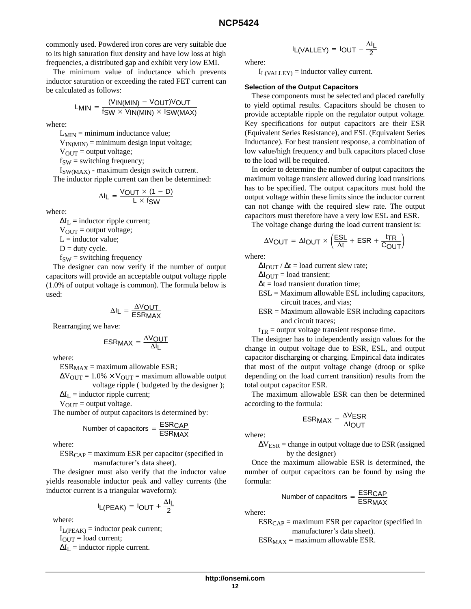commonly used. Powdered iron cores are very suitable due to its high saturation flux density and have low loss at high frequencies, a distributed gap and exhibit very low EMI.

The minimum value of inductance which prevents inductor saturation or exceeding the rated FET current can be calculated as follows:

$$
L_{MIN} = \frac{(V_{IN(MIN)} - V_{OUT})V_{OUT}}{f_{SW} \times V_{IN(MIN)} \times I_{SW(MAX)}}
$$

where:

 $L_{MIN}$  = minimum inductance value;

 $V_{IN(MIN)} =$  minimum design input voltage;

 $V_{OUT} =$  output voltage;

 $f_{SW}$  = switching frequency;

ISW(MAX) - maximum design switch current. The inductor ripple current can then be determined:

$$
\Delta I_L = \frac{VOUT \times (1 - D)}{L \times fSW}
$$

where:

 $\Delta I_L$  = inductor ripple current;

 $V_{\text{OUT}} =$  output voltage;

 $L =$  inductor value;

 $D =$  duty cycle.

 $f_{SW}$  = switching frequency

The designer can now verify if the number of output capacitors will provide an acceptable output voltage ripple (1.0% of output voltage is common). The formula below is used:

$$
\Delta I_L = \frac{\Delta V_{OUT}}{ESRMAX}
$$

Rearranging we have:

$$
ESR_{MAX} = \frac{\Delta V_{OUT}}{\Delta I_L}
$$

where:

 $ESR_{MAX}$  = maximum allowable ESR;

 $\Delta V_{\text{OUT}} = 1.0\% \times V_{\text{OUT}} =$  maximum allowable output voltage ripple ( budgeted by the designer );

 $\Delta I_L$  = inductor ripple current;

 $V_{\text{OUT}} =$  output voltage.

The number of output capacitors is determined by:

Number of capacitors = 
$$
\frac{\text{ESR}_{\text{CAP}}}{\text{ESR}_{\text{MAX}}}
$$

where:

 $ESR_{CAP}$  = maximum ESR per capacitor (specified in manufacturer's data sheet).

The designer must also verify that the inductor value yields reasonable inductor peak and valley currents (the inductor current is a triangular waveform):

$$
I_{L(PEAK)} = I_{OUT} + \frac{\Delta I_{L}}{2}
$$

where:

 $I_{L(PEAK)}$  = inductor peak current;  $I_{\text{OUT}} =$  load current;  $\Delta I_L$  = inductor ripple current.

$$
I_{L(VALLEY)} = I_{OUT} - \frac{\Delta I_L}{2}
$$

where:

 $I_{L(VALLEY)} =$  inductor valley current.

#### **Selection of the Output Capacitors**

These components must be selected and placed carefully to yield optimal results. Capacitors should be chosen to provide acceptable ripple on the regulator output voltage. Key specifications for output capacitors are their ESR (Equivalent Series Resistance), and ESL (Equivalent Series Inductance). For best transient response, a combination of low value/high frequency and bulk capacitors placed close to the load will be required.

In order to determine the number of output capacitors the maximum voltage transient allowed during load transitions has to be specified. The output capacitors must hold the output voltage within these limits since the inductor current can not change with the required slew rate. The output capacitors must therefore have a very low ESL and ESR.

The voltage change during the load current transient is:

$$
\Delta V_{\text{OUT}} = \Delta I_{\text{OUT}} \times \left(\frac{\text{ESL}}{\Delta t} + \text{ESR} + \frac{\text{tr}}{\text{COUT}}\right)
$$

where:

 $\Delta I_{\text{OUT}} / \Delta t =$  load current slew rate;

 $\Delta I_{\text{OUT}} =$  load transient;

 $\Delta t =$ load transient duration time;

- $ESL =$  Maximum allowable  $ESL$  including capacitors, circuit traces, and vias;
- $ESR =$  Maximum allowable  $ESR$  including capacitors and circuit traces;

 $t_{TR}$  = output voltage transient response time.

The designer has to independently assign values for the change in output voltage due to ESR, ESL, and output capacitor discharging or charging. Empirical data indicates that most of the output voltage change (droop or spike depending on the load current transition) results from the total output capacitor ESR.

The maximum allowable ESR can then be determined according to the formula:

$$
ESRMAX = \frac{\Delta VESR}{\Delta IOUT}
$$

where:

 $\Delta V_{ESR}$  = change in output voltage due to ESR (assigned by the designer)

Once the maximum allowable ESR is determined, the number of output capacitors can be found by using the formula:

Number of capacitors = 
$$
\frac{\text{ESR}_{CAP}}{\text{ESR}_{MAX}}
$$

where:

 $ESR_{CAP} =$  maximum ESR per capacitor (specified in manufacturer's data sheet).  $ESR_{MAX}$  = maximum allowable ESR.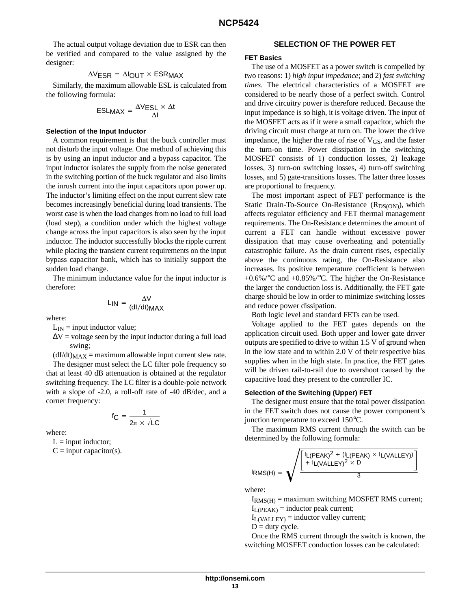The actual output voltage deviation due to ESR can then be verified and compared to the value assigned by the designer:

#### $\Delta V$ ESR =  $\Delta I$ OUT  $\times$  ESRMAX

Similarly, the maximum allowable ESL is calculated from the following formula:

$$
ESL_{MAX} = \frac{\Delta V_{ESL} \times \Delta t}{\Delta I}
$$

#### **Selection of the Input Inductor**

A common requirement is that the buck controller must not disturb the input voltage. One method of achieving this is by using an input inductor and a bypass capacitor. The input inductor isolates the supply from the noise generated in the switching portion of the buck regulator and also limits the inrush current into the input capacitors upon power up. The inductor's limiting effect on the input current slew rate becomes increasingly beneficial during load transients. The worst case is when the load changes from no load to full load (load step), a condition under which the highest voltage change across the input capacitors is also seen by the input inductor. The inductor successfully blocks the ripple current while placing the transient current requirements on the input bypass capacitor bank, which has to initially support the sudden load change.

The minimum inductance value for the input inductor is therefore:

$$
L_{IN} = \frac{\Delta V}{(dl/dt)MAX}
$$

where:

- $L_{IN}$  = input inductor value;
- $\Delta V$  = voltage seen by the input inductor during a full load swing;

 $(dI/dt)_{MAX}$  = maximum allowable input current slew rate. The designer must select the LC filter pole frequency so that at least 40 dB attenuation is obtained at the regulator switching frequency. The LC filter is a double-pole network with a slope of -2.0, a roll-off rate of -40 dB/dec, and a corner frequency:

$$
f_C = \frac{1}{2\pi \times \sqrt{LC}}
$$

where:

 $L = input inductor;$ 

 $C = input capacitor(s)$ .

#### **SELECTION OF THE POWER FET**

#### **FET Basics**

The use of a MOSFET as a power switch is compelled by two reasons: 1) *high input impedance*; and 2) *fast switching times*. The electrical characteristics of a MOSFET are considered to be nearly those of a perfect switch. Control and drive circuitry power is therefore reduced. Because the input impedance is so high, it is voltage driven. The input of the MOSFET acts as if it were a small capacitor, which the driving circuit must charge at turn on. The lower the drive impedance, the higher the rate of rise of  $V_{\text{GS}}$ , and the faster the turn-on time. Power dissipation in the switching MOSFET consists of 1) conduction losses, 2) leakage losses, 3) turn-on switching losses, 4) turn-off switching losses, and 5) gate-transitions losses. The latter three losses are proportional to frequency.

The most important aspect of FET performance is the Static Drain-To-Source On-Resistance  $(R_{DS(ON)})$ , which affects regulator efficiency and FET thermal management requirements. The On-Resistance determines the amount of current a FET can handle without excessive power dissipation that may cause overheating and potentially catastrophic failure. As the drain current rises, especially above the continuous rating, the On-Resistance also increases. Its positive temperature coefficient is between +0.6%/°C and +0.85%/°C. The higher the On-Resistance the larger the conduction loss is. Additionally, the FET gate charge should be low in order to minimize switching losses and reduce power dissipation.

Both logic level and standard FETs can be used.

Voltage applied to the FET gates depends on the application circuit used. Both upper and lower gate driver outputs are specified to drive to within 1.5 V of ground when in the low state and to within 2.0 V of their respective bias supplies when in the high state. In practice, the FET gates will be driven rail-to-rail due to overshoot caused by the capacitive load they present to the controller IC.

#### **Selection of the Switching (Upper) FET**

The designer must ensure that the total power dissipation in the FET switch does not cause the power component's junction temperature to exceed 150°C.

The maximum RMS current through the switch can be determined by the following formula:

$$
I_{RMS(H)} = \sqrt{\frac{\left[\frac{I_L(PEAK)^2 + (I_L(PEAK) \times I_L(VALLEY))}{+ I_L(VALLEY)^2 \times D}\right]}{3}}
$$

where:

 $I_{RMS(H)} =$  maximum switching MOSFET RMS current;  $I_{L(PEAK)} =$  inductor peak current;

 $I_{L(VALLY)}$  = inductor valley current;

 $D =$  duty cycle.

Once the RMS current through the switch is known, the switching MOSFET conduction losses can be calculated: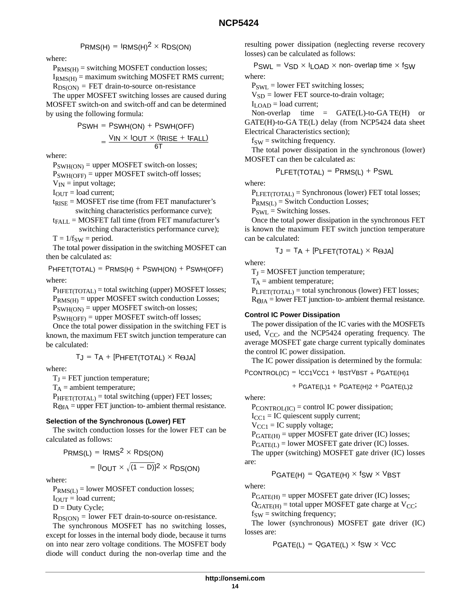## $P$ RMS(H) =  $I$ RMS(H)<sup>2</sup> × RDS(ON)

where:

 $P_{RMS(H)}$  = switching MOSFET conduction losses;

 $I_{RMS(H)} =$  maximum switching MOSFET RMS current;  $R_{DS(ON)} = FET$  drain-to-source on-resistance

The upper MOSFET switching losses are caused during MOSFET switch-on and switch-off and can be determined by using the following formula:

$$
PSWH = PSWH(ON) + PSWH(OFF)
$$

$$
= \frac{V_{IN} \times IOUT \times (tRISE + tFALL)}{6T}
$$

where:

 $P_{SWH(ON)} =$  upper MOSFET switch-on losses;

PSWH(OFF) = upper MOSFET switch-off losses;

 $V_{IN}$  = input voltage;

 $I_{\text{OUT}} =$  load current;

 $t_{RISE}$  = MOSFET rise time (from FET manufacturer's switching characteristics performance curve);

$$
t_{FALL} = \text{MOSFET fall time (from FET manufacturer's switching characteristics performance curve);}
$$

 $T = 1/f_{SW} = period.$ The total power dissipation in the switching MOSFET can then be calculated as:

 $PHFET(TOTAL) = PRMS(H) + PSWH(ON) + PSWH(OFF)$ 

where:

PHFET(TOTAL) = total switching (upper) MOSFET losses;

 $P_{RMS(H)} =$  upper MOSFET switch conduction Losses;

 $P_{SWH(ON)} =$  upper MOSFET switch-on losses;

 $P_{SWH(OFF)} =$  upper MOSFET switch-off losses; Once the total power dissipation in the switching FET is

known, the maximum FET switch junction temperature can be calculated:

$$
T_J = T_A + [P_{HFET(TOTAL)} \times R_{\Theta JA}]
$$

where:

 $T_J$  = FET junction temperature;

 $T_A$  = ambient temperature;

PHFET(TOTAL) = total switching (upper) FET losses;  $R_{\Theta JA}$  = upper FET junction- to- ambient thermal resistance.

#### **Selection of the Synchronous (Lower) FET**

The switch conduction losses for the lower FET can be calculated as follows:

$$
PRMS(L) = IRMS2 \times RDS(ON)
$$

$$
= [IOUT \times \sqrt{(1-D)}]^2 \times RDS(ON)
$$

where:

 $P_{RMS(L)} =$  lower MOSFET conduction losses;

 $I<sub>OUT</sub> = load current;$ 

 $D = Duty$  Cycle;

 $R_{DS(ON)} =$  lower FET drain-to-source on-resistance.

The synchronous MOSFET has no switching losses, except for losses in the internal body diode, because it turns on into near zero voltage conditions. The MOSFET body diode will conduct during the non-overlap time and the resulting power dissipation (neglecting reverse recovery losses) can be calculated as follows:

 $PSWL = VSD \times ILOAD \times non- overlap time \times fSW$ where:

 $P_{SWI}$  = lower FET switching losses;

 $V_{SD}$  = lower FET source-to-drain voltage;

 $I_{\text{LOAD}} =$  load current;

Non-overlap time =  $GATE(L)$ -to- $GATE(H)$  or GATE(H)-to-GA TE(L) delay (from NCP5424 data sheet Electrical Characteristics section);

 $f_{SW}$  = switching frequency.

The total power dissipation in the synchronous (lower) MOSFET can then be calculated as:

$$
P_{LFET(TOTAL)} = P_{RMS(L)} + P_{SWL}
$$

where:

 $P_{\text{LEFT(TOTAL)}} =$  Synchronous (lower) FET total losses;

 $P_{RMS(L)} =$  Switch Conduction Losses;

 $P_{SWL}$  = Switching losses.

Once the total power dissipation in the synchronous FET is known the maximum FET switch junction temperature can be calculated:

$$
T_J = T_A + [P_{LFET(TOTAL)} \times R_{\Theta JA}]
$$

where:

 $T_J = MOSFET$  junction temperature;

 $T_A$  = ambient temperature;

 $P_{LEFT(TOTAL)} = total$  synchronous (lower) FET losses;

 $R_{\Theta JA}$  = lower FET junction- to- ambient thermal resistance.

#### **Control IC Power Dissipation**

The power dissipation of the IC varies with the MOSFETs used,  $V_{CC}$ , and the NCP5424 operating frequency. The average MOSFET gate charge current typically dominates the control IC power dissipation.

The IC power dissipation is determined by the formula:

 $PCONTROL(IC) = ICC1VCC1 + IBSTVBST + PGATE(H)1$ 

$$
+ PGATE(L)1 + PGATE(H)2 + PGATE(L)2
$$

where:

 $P_{CONTROL(IC)} =$  control IC power dissipation;

 $I_{CC1}$  = IC quiescent supply current;

 $V_{\text{CC1}} = \text{IC supply voltage};$ 

 $P_{GATE(H)}$  = upper MOSFET gate driver (IC) losses;

 $P_{GATE(L)} =$  lower MOSFET gate driver (IC) losses.

The upper (switching) MOSFET gate driver (IC) losses are:

$$
PGATE(H) = QGATE(H) \times fSW \times VBST
$$

where:

 $P_{GATE(H)} =$  upper MOSFET gate driver (IC) losses;

 $Q_{GATE(H)}$  = total upper MOSFET gate charge at  $V_{CC}$ ;  $f_{SW}$  = switching frequency;

The lower (synchronous) MOSFET gate driver (IC) losses are:

 $PGATE(L) = QGATE(L) \times fSW \times VCC$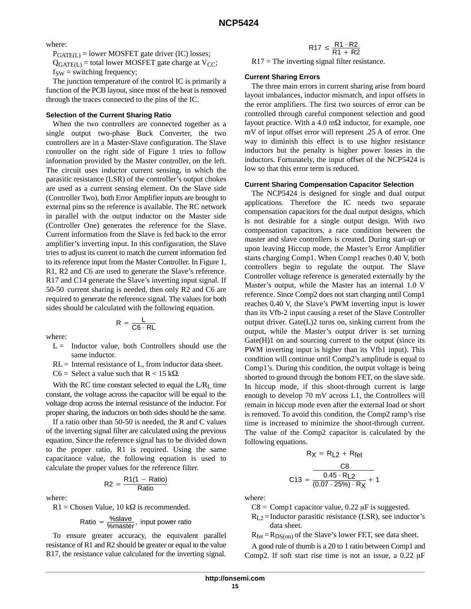where:

 $P_{GATE(L)} =$  lower MOSFET gate driver (IC) losses;

 $Q_{GATE(L)}$  = total lower MOSFET gate charge at  $V_{CC}$ ;  $f_{SW}$  = switching frequency;

The junction temperature of the control IC is primarily a function of the PCB layout, since most of the heat is removed through the traces connected to the pins of the IC.

#### **Selection of the Current Sharing Ratio**

When the two controllers are connected together as a single output two-phase Buck Converter, the two controllers are in a Master-Slave configuration. The Slave controller on the right side of Figure 1 tries to follow information provided by the Master controller, on the left. The circuit uses inductor current sensing, in which the parasitic resistance (LSR) of the controller's output chokes are used as a current sensing element. On the Slave side (Controller Two), both Error Amplifier inputs are brought to external pins so the reference is available. The RC network in parallel with the output inductor on the Master side (Controller One) generates the reference for the Slave. Current information from the Slave is fed back to the error amplifier's inverting input. In this configuration, the Slave tries to adjust its current to match the current information fed to its reference input from the Master Controller. In Figure 1, R1, R2 and C6 are used to generate the Slave's reference. R17 and C14 generate the Slave's inverting input signal. If 50-50 current sharing is needed, then only R2 and C6 are required to generate the reference signal. The values for both sides should be calculated with the following equation.

 $R = \frac{L}{C6 \cdot RL}$ 

where:

- $L =$  Inductor value, both Controllers should use the same inductor.
- $RL =$  Internal resistance of L, from inductor data sheet.

 $C6 =$  Select a value such that  $R < 15$  k $\Omega$ .

With the RC time constant selected to equal the  $L/R<sub>L</sub>$  time constant, the voltage across the capacitor will be equal to the voltage drop across the internal resistance of the inductor. For proper sharing, the inductors on both sides should be the same.

If a ratio other than 50-50 is needed, the R and C values of the inverting signal filter are calculated using the previous equation. Since the reference signal has to be divided down to the proper ratio, R1 is required. Using the same capacitance value, the following equation is used to calculate the proper values for the reference filter.

$$
R2 = \frac{R1(1 - Ratio)}{Ratio}
$$

where:

 $R1$  = Chosen Value, 10 k $\Omega$  is recommended.

Ratio = 
$$
\frac{\% \text{ slave}}{\% \text{master}}
$$
, input power ratio

To ensure greater accuracy, the equivalent parallel resistance of R1 and R2 should be greater or equal to the value R17, the resistance value calculated for the inverting signal.

$$
\mathsf{R17} \leq \frac{\mathsf{R1} \cdot \mathsf{R2}}{\mathsf{R1} + \mathsf{R2}}
$$

 $R17$  = The inverting signal filter resistance.

#### **Current Sharing Errors**

The three main errors in current sharing arise from board layout imbalances, inductor mismatch, and input offsets in the error amplifiers. The first two sources of error can be controlled through careful component selection and good layout practice. With a 4.0 m $\Omega$  inductor, for example, one mV of input offset error will represent .25 A of error. One way to diminish this effect is to use higher resistance inductors but the penalty is higher power losses in the inductors. Fortunately, the input offset of the NCP5424 is low so that this error term is reduced.

#### **Current Sharing Compensation Capacitor Selection**

The NCP5424 is designed for single and dual output applications. Therefore the IC needs two separate compensation capacitors for the dual output designs, which is not desirable for a single output design. With two compensation capacitors, a race condition between the master and slave controllers is created. During start-up or upon leaving Hiccup mode, the Master's Error Amplifier starts charging Comp1. When Comp1 reaches 0.40 V, both controllers begin to regulate the output. The Slave Controller voltage reference is generated externally by the Master's output, while the Master has an internal 1.0 V reference. Since Comp2 does not start charging until Comp1 reaches 0.40 V, the Slave's PWM inverting input is lower than its Vfb-2 input causing a reset of the Slave Controller output driver. Gate(L)2 turns on, sinking current from the output, while the Master's output driver is set turning  $Gate(H)1$  on and sourcing current to the output (since its PWM inverting input is higher than its Vfb1 input). This condition will continue until Comp2's amplitude is equal to Comp1's. During this condition, the output voltage is being shorted to ground through the bottom FET, on the slave side. In hiccup mode, if this shoot-through current is large enough to develop 70 mV across L1, the Controllers will remain in hiccup mode even after the external load or short is removed. To avoid this condition, the Comp2 ramp's rise time is increased to minimize the shoot-through current. The value of the Comp2 capacitor is calculated by the following equations.

$$
RX = R_{L2} + R_{fet}
$$

$$
C13 = \frac{C8}{0.45 \cdot R_{L2}} + 1
$$

$$
C13 = \frac{0.45 \cdot R_{L2}}{(0.07 \cdot 25\%) \cdot R_{X} + 1}
$$

where:

- $C8 = Compl$  capacitor value, 0.22  $\mu$ F is suggested.
- $R_{L2}$  =Inductor parasitic resistance (LSR), see inductor's data sheet.

 $R_{\text{fet}} = R_{DS(on)}$  of the Slave's lower FET, see data sheet.

A good rule of thumb is a 20 to 1 ratio between Comp1 and Comp2. If soft start rise time is not an issue, a  $0.22 \mu F$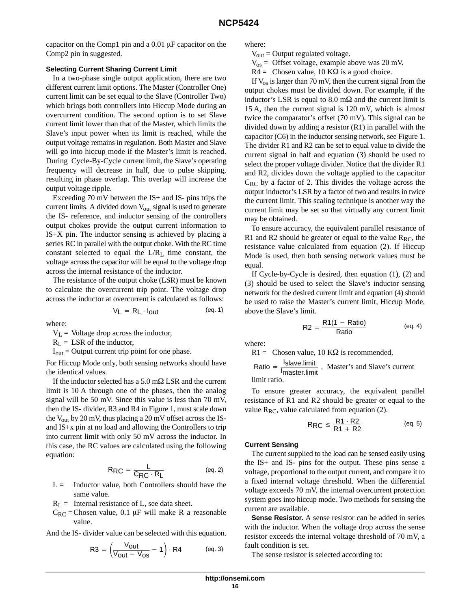capacitor on the Comp1 pin and a  $0.01 \mu$ F capacitor on the Comp2 pin in suggested.

#### **Selecting Current Sharing Current Limit**

In a two-phase single output application, there are two different current limit options. The Master (Controller One) current limit can be set equal to the Slave (Controller Two) which brings both controllers into Hiccup Mode during an overcurrent condition. The second option is to set Slave current limit lower than that of the Master, which limits the Slave's input power when its limit is reached, while the output voltage remains in regulation. Both Master and Slave will go into hiccup mode if the Master's limit is reached. During Cycle-By-Cycle current limit, the Slave's operating frequency will decrease in half, due to pulse skipping, resulting in phase overlap. This overlap will increase the output voltage ripple.

Exceeding 70 mV between the IS+ and IS- pins trips the current limits. A divided down  $V_{\text{out}}$  signal is used to generate the IS- reference, and inductor sensing of the controllers output chokes provide the output current information to IS+X pin. The inductor sensing is achieved by placing a series RC in parallel with the output choke. With the RC time constant selected to equal the L/RL time constant, the voltage across the capacitor will be equal to the voltage drop across the internal resistance of the inductor.

The resistance of the output choke (LSR) must be known to calculate the overcurrent trip point. The voltage drop across the inductor at overcurrent is calculated as follows:

$$
V_L = R_L \cdot I_{\text{out}} \tag{eq. 1}
$$

where:

 $V_L$  = Voltage drop across the inductor,

 $R_L$  = LSR of the inductor,

 $I_{out}$  = Output current trip point for one phase.

For Hiccup Mode only, both sensing networks should have the identical values.

If the inductor selected has a  $5.0 \text{ m}\Omega$  LSR and the current limit is 10 A through one of the phases, then the analog signal will be 50 mV. Since this value is less than 70 mV, then the IS- divider, R3 and R4 in Figure 1, must scale down the  $V_{out}$  by 20 mV, thus placing a 20 mV offset across the ISand IS+x pin at no load and allowing the Controllers to trip into current limit with only 50 mV across the inductor. In this case, the RC values are calculated using the following equation:

$$
R_{\text{RC}} = \frac{L}{C_{\text{RC}} \cdot R_L}
$$
 (eq. 2)

- $L =$  Inductor value, both Controllers should have the same value.
- $R_L$  = Internal resistance of L, see data sheet.
- $C_{RC}$  = Chosen value, 0.1 µF will make R a reasonable value.

And the IS- divider value can be selected with this equation.

$$
R3 = \left(\frac{V_{\text{out}}}{V_{\text{out}} - V_{\text{OS}}} - 1\right) \cdot R4 \quad (eq. 3)
$$

where:

- $V_{\text{out}}$  = Output regulated voltage.
- $V_{os}$  = Offset voltage, example above was 20 mV.
- $R4 =$  Chosen value, 10 K $\Omega$  is a good choice.

If  $V_{\text{os}}$  is larger than 70 mV, then the current signal from the output chokes must be divided down. For example, if the inductor's LSR is equal to 8.0 m $\Omega$  and the current limit is 15 A, then the current signal is 120 mV, which is almost twice the comparator's offset (70 mV). This signal can be divided down by adding a resistor (R1) in parallel with the capacitor (C6) in the inductor sensing network, see Figure 1. The divider R1 and R2 can be set to equal value to divide the current signal in half and equation (3) should be used to select the proper voltage divider. Notice that the divider R1 and R2, divides down the voltage applied to the capacitor  $C_{RC}$  by a factor of 2. This divides the voltage across the output inductor's LSR by a factor of two and results in twice the current limit. This scaling technique is another way the current limit may be set so that virtually any current limit may be obtained.

To ensure accuracy, the equivalent parallel resistance of R1 and R2 should be greater or equal to the value  $R_{RC}$ , the resistance value calculated from equation (2). If Hiccup Mode is used, then both sensing network values must be equal.

If Cycle-by-Cycle is desired, then equation (1), (2) and (3) should be used to select the Slave's inductor sensing network for the desired current limit and equation (4) should be used to raise the Master's current limit, Hiccup Mode, above the Slave's limit.

$$
R2 = \frac{R1(1 - Ratio)}{Ratio}
$$
 (eq. 4)

where:

 $R1 =$  Chosen value, 10 K $\Omega$  is recommended,

Ratio =  $\frac{I_{\text{Slave.limit}}}{I_{\text{master.limit}}}$ , Master's and Slave's current limit ratio.

To ensure greater accuracy, the equivalent parallel resistance of R1 and R2 should be greater or equal to the value  $R_{RC}$ , value calculated from equation (2).

$$
R_{\text{RC}} \leq \frac{R1 \cdot R2}{R1 + R2} \qquad \qquad \text{(eq. 5)}
$$

#### **Current Sensing**

The current supplied to the load can be sensed easily using the IS+ and IS- pins for the output. These pins sense a voltage, proportional to the output current, and compare it to a fixed internal voltage threshold. When the differential voltage exceeds 70 mV, the internal overcurrent protection system goes into hiccup mode. Two methods for sensing the current are available.

**Sense Resistor.** A sense resistor can be added in series with the inductor. When the voltage drop across the sense resistor exceeds the internal voltage threshold of 70 mV, a fault condition is set.

The sense resistor is selected according to: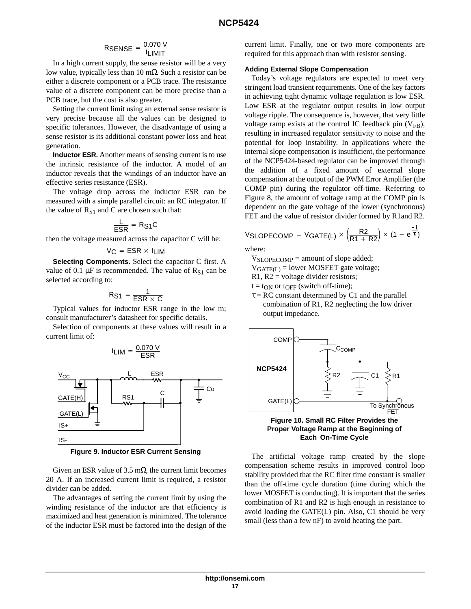## $\mathsf{RSENSE} = \frac{\mathsf{0.070\ V}}{\mathsf{I}\mathsf{L}\mathsf{IMIT}}$

In a high current supply, the sense resistor will be a very low value, typically less than 10 mΩ. Such a resistor can be either a discrete component or a PCB trace. The resistance value of a discrete component can be more precise than a PCB trace, but the cost is also greater.

Setting the current limit using an external sense resistor is very precise because all the values can be designed to specific tolerances. However, the disadvantage of using a sense resistor is its additional constant power loss and heat generation.

**Inductor ESR.** Another means of sensing current is to use the intrinsic resistance of the inductor. A model of an inductor reveals that the windings of an inductor have an effective series resistance (ESR).

The voltage drop across the inductor ESR can be measured with a simple parallel circuit: an RC integrator. If the value of  $R_{S1}$  and C are chosen such that:

$$
\frac{L}{ESR} = R_{S1}C
$$

then the voltage measured across the capacitor C will be:

$$
V_C = ESR \times I_{LIM}
$$

**Selecting Components.** Select the capacitor C first. A value of 0.1  $\mu$ F is recommended. The value of R<sub>S1</sub> can be selected according to:

$$
R_{S1} = \frac{1}{ESR \times C}
$$

Typical values for inductor ESR range in the low m; consult manufacturer's datasheet for specific details.

Selection of components at these values will result in a current limit of:



**Figure 9. Inductor ESR Current Sensing**

Given an ESR value of 3.5 m $\Omega$ , the current limit becomes 20 A. If an increased current limit is required, a resistor divider can be added.

The advantages of setting the current limit by using the winding resistance of the inductor are that efficiency is maximized and heat generation is minimized. The tolerance of the inductor ESR must be factored into the design of the

current limit. Finally, one or two more components are required for this approach than with resistor sensing.

#### **Adding External Slope Compensation**

Today's voltage regulators are expected to meet very stringent load transient requirements. One of the key factors in achieving tight dynamic voltage regulation is low ESR. Low ESR at the regulator output results in low output voltage ripple. The consequence is, however, that very little voltage ramp exists at the control IC feedback pin  $(V_{FB})$ , resulting in increased regulator sensitivity to noise and the potential for loop instability. In applications where the internal slope compensation is insufficient, the performance of the NCP5424-based regulator can be improved through the addition of a fixed amount of external slope compensation at the output of the PWM Error Amplifier (the COMP pin) during the regulator off-time. Referring to Figure 8, the amount of voltage ramp at the COMP pin is dependent on the gate voltage of the lower (synchronous) FET and the value of resistor divider formed by R1and R2.

$$
\text{VSLOPECOMP} = \text{VGATE(L)} \times \left(\frac{R2}{R1 + R2}\right) \times (1 - e^{\frac{-t}{T}})
$$

where:

VSLOPECOMP = amount of slope added;

 $V_{GATE(L)} =$  lower MOSFET gate voltage;

 $R1, R2$  = voltage divider resistors;

 $t = t_{ON}$  or  $t_{OFF}$  (switch off-time);

 $\tau = RC$  constant determined by C1 and the parallel combination of R1, R2 neglecting the low driver output impedance.



**Proper Voltage Ramp at the Beginning of Each On-Time Cycle**

The artificial voltage ramp created by the slope compensation scheme results in improved control loop stability provided that the RC filter time constant is smaller than the off-time cycle duration (time during which the lower MOSFET is conducting). It is important that the series combination of R1 and R2 is high enough in resistance to avoid loading the GATE(L) pin. Also, C1 should be very small (less than a few nF) to avoid heating the part.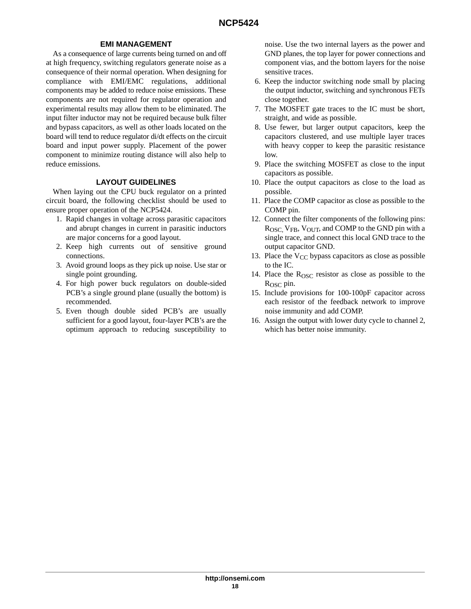## **EMI MANAGEMENT**

As a consequence of large currents being turned on and off at high frequency, switching regulators generate noise as a consequence of their normal operation. When designing for compliance with EMI/EMC regulations, additional components may be added to reduce noise emissions. These components are not required for regulator operation and experimental results may allow them to be eliminated. The input filter inductor may not be required because bulk filter and bypass capacitors, as well as other loads located on the board will tend to reduce regulator di/dt effects on the circuit board and input power supply. Placement of the power component to minimize routing distance will also help to reduce emissions.

#### **LAYOUT GUIDELINES**

When laying out the CPU buck regulator on a printed circuit board, the following checklist should be used to ensure proper operation of the NCP5424.

- 1. Rapid changes in voltage across parasitic capacitors and abrupt changes in current in parasitic inductors are major concerns for a good layout.
- 2. Keep high currents out of sensitive ground connections.
- 3. Avoid ground loops as they pick up noise. Use star or single point grounding.
- 4. For high power buck regulators on double-sided PCB's a single ground plane (usually the bottom) is recommended.
- 5. Even though double sided PCB's are usually sufficient for a good layout, four-layer PCB's are the optimum approach to reducing susceptibility to

noise. Use the two internal layers as the power and GND planes, the top layer for power connections and component vias, and the bottom layers for the noise sensitive traces.

- 6. Keep the inductor switching node small by placing the output inductor, switching and synchronous FETs close together.
- 7. The MOSFET gate traces to the IC must be short, straight, and wide as possible.
- 8. Use fewer, but larger output capacitors, keep the capacitors clustered, and use multiple layer traces with heavy copper to keep the parasitic resistance low.
- 9. Place the switching MOSFET as close to the input capacitors as possible.
- 10. Place the output capacitors as close to the load as possible.
- 11. Place the COMP capacitor as close as possible to the COMP pin.
- 12. Connect the filter components of the following pins: ROSC, VFB, VOUT, and COMP to the GND pin with a single trace, and connect this local GND trace to the output capacitor GND.
- 13. Place the  $V_{CC}$  bypass capacitors as close as possible to the IC.
- 14. Place the  $R<sub>OSC</sub>$  resistor as close as possible to the R<sub>OSC</sub> pin.
- 15. Include provisions for 100-100pF capacitor across each resistor of the feedback network to improve noise immunity and add COMP.
- 16. Assign the output with lower duty cycle to channel 2, which has better noise immunity.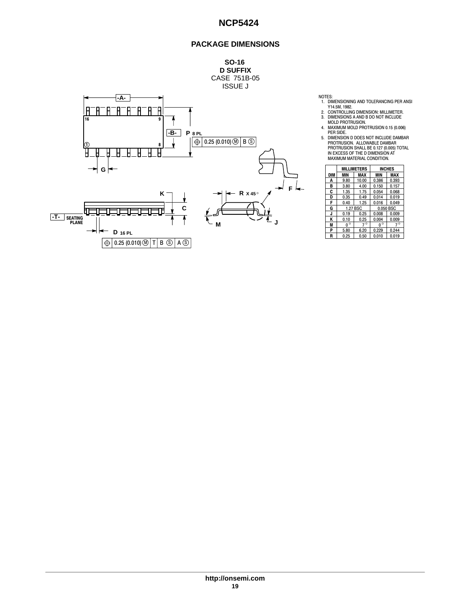## **PACKAGE DIMENSIONS**



- NOTES:<br>
1. DIMENSIONING AND TOLERANCING PER ANSI<br>
Y14.5M, 1982.<br>
2. CONTROLLING DIMENSION: MILLIMETER.<br>
3. DIMENSIONS A AND B DO NOT INCLUDE<br>
MOLD PROTRUSION.<br>
4. MAXIMUM MOLD PROTRUSION 0.15 (0.006)<br>
PER SIDE.
- 
- 
- 
- 5. DIMENSION D DOES NOT INCLUDE DAMBAR<br>PROTRUSION. ALLOWABLE DAMBAR<br>PROTRUSION SHALL BE 0.127 (0.005) TOTAL<br>IN EXCESS OF THE D DIMENSION AT<br>MAXIMUM MATERIAL CONDITION.

|            | <b>MILLIMETERS</b> |           |                   | <b>INCHES</b> |
|------------|--------------------|-----------|-------------------|---------------|
| <b>DIM</b> | MIN                | MAX       | <b>MAX</b><br>MIN |               |
| A          | 9.80               | 10.00     | 0.386             | 0.393         |
| в          | 3.80               | 4.00      | 0.150             | 0.157         |
| c          | 1.35               | 1.75      | 0.054             | 0.068         |
| D          | 0.35               | 0.49      | 0.014             | 0.019         |
| F          | 0.40               | 1.25      | 0.016             | 0.049         |
| G          | 1.27 BSC           |           | 0.050 BSC         |               |
| J          | 0.19               | 0.25      | 0.008             | 0.009         |
| κ          | 0.10               | 0.25      | 0.004             | 0.009         |
| M          | $0^{\circ}$        | $7^\circ$ | $0^{\circ}$       | $7^\circ$     |
| P          | 5.80               | 6.20      | 0.229             | 0.244         |
| R          | 0.25               | 0.50      | 0.010             | 0.019         |